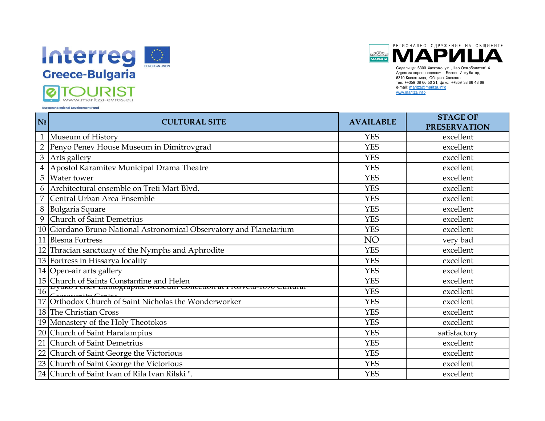

РЕГИОНАЛНО СДРУЖЕНИЕ НА ОБЩИНИТЕ **МАРИЦА** 

| тел: ++359 38 66 50 21; факс: ++359 38 66 48 69<br>e-mail: maritza@maritza.info<br>www.maritza.info<br><b>European Regional Development Fund</b> |  |
|--------------------------------------------------------------------------------------------------------------------------------------------------|--|
|                                                                                                                                                  |  |
| <b>STAGE OF</b><br>N <sub>0</sub><br><b>AVAILABLE</b><br><b>CULTURAL SITE</b><br><b>PRESERVATION</b>                                             |  |
| 1 Museum of History<br><b>YES</b><br>excellent                                                                                                   |  |
| Penyo Penev House Museum in Dimitrovgrad<br><b>YES</b><br>$\overline{2}$<br>excellent                                                            |  |
| 3 Arts gallery<br><b>YES</b><br>excellent                                                                                                        |  |
| Apostol Karamitev Municipal Drama Theatre<br>$\overline{4}$<br><b>YES</b><br>excellent                                                           |  |
| 5<br>Water tower<br><b>YES</b><br>excellent                                                                                                      |  |
| Architectural ensemble on Treti Mart Blvd.<br><b>YES</b><br>6<br>excellent                                                                       |  |
| Central Urban Area Ensemble<br><b>YES</b><br>excellent                                                                                           |  |
| $\,8\,$<br><b>YES</b><br>excellent<br><b>Bulgaria Square</b>                                                                                     |  |
| Church of Saint Demetrius<br>9<br><b>YES</b><br>excellent                                                                                        |  |
| 10 Giordano Bruno National Astronomical Observatory and Planetarium<br><b>YES</b><br>excellent                                                   |  |
| 11 Blesna Fortress<br>NO<br>very bad                                                                                                             |  |
| 12 Thracian sanctuary of the Nymphs and Aphrodite<br><b>YES</b><br>excellent                                                                     |  |
| 13 Fortress in Hissarya locality<br><b>YES</b><br>excellent                                                                                      |  |
| 14 Open-air arts gallery<br><b>YES</b><br>excellent                                                                                              |  |
| 15 Church of Saints Constantine and Helen<br><b>YES</b><br>excellent                                                                             |  |
| Dyaku I enev Euniographic iviuseum Conection at I Tosveta-1020 Cuntural<br>16<br><b>YES</b><br>excellent                                         |  |
| Orthodox Church of Saint Nicholas the Wonderworker<br>17<br><b>YES</b><br>excellent                                                              |  |
| 18 The Christian Cross<br><b>YES</b><br>excellent                                                                                                |  |
| 19 Monastery of the Holy Theotokos<br><b>YES</b><br>excellent                                                                                    |  |
| 20 Church of Saint Haralampius<br><b>YES</b><br>satisfactory                                                                                     |  |
| Church of Saint Demetrius<br>21<br><b>YES</b><br>excellent                                                                                       |  |
| 22<br>Church of Saint George the Victorious<br><b>YES</b><br>excellent                                                                           |  |
| 23 Church of Saint George the Victorious<br><b>YES</b><br>excellent                                                                              |  |
| 24 Church of Saint Ivan of Rila Ivan Rilski".<br><b>YES</b><br>excellent                                                                         |  |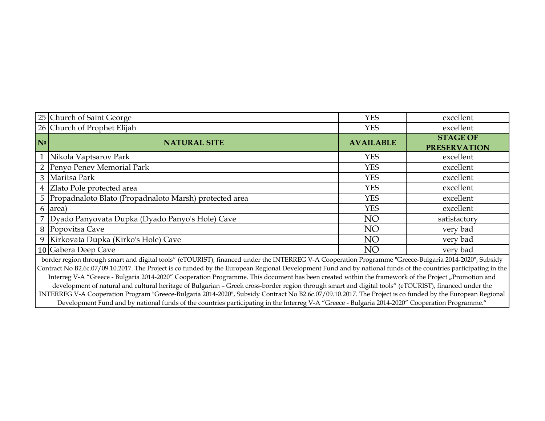|                                                                                                                                                                                                                                                                                                                                                                                                                                                                                 | 25 Church of Saint George                                                                                                                                 | <b>YES</b>       | excellent                              |
|---------------------------------------------------------------------------------------------------------------------------------------------------------------------------------------------------------------------------------------------------------------------------------------------------------------------------------------------------------------------------------------------------------------------------------------------------------------------------------|-----------------------------------------------------------------------------------------------------------------------------------------------------------|------------------|----------------------------------------|
|                                                                                                                                                                                                                                                                                                                                                                                                                                                                                 | 26 Church of Prophet Elijah                                                                                                                               | <b>YES</b>       | excellent                              |
| N <sub>0</sub>                                                                                                                                                                                                                                                                                                                                                                                                                                                                  | <b>NATURAL SITE</b>                                                                                                                                       | <b>AVAILABLE</b> | <b>STAGE OF</b><br><b>PRESERVATION</b> |
|                                                                                                                                                                                                                                                                                                                                                                                                                                                                                 | 1 Nikola Vaptsarov Park                                                                                                                                   | <b>YES</b>       | excellent                              |
|                                                                                                                                                                                                                                                                                                                                                                                                                                                                                 | 2 Penyo Penev Memorial Park                                                                                                                               | <b>YES</b>       | excellent                              |
|                                                                                                                                                                                                                                                                                                                                                                                                                                                                                 | 3 Maritsa Park                                                                                                                                            | <b>YES</b>       | excellent                              |
|                                                                                                                                                                                                                                                                                                                                                                                                                                                                                 | 4 Zlato Pole protected area                                                                                                                               | <b>YES</b>       | excellent                              |
|                                                                                                                                                                                                                                                                                                                                                                                                                                                                                 | 5 Propadnaloto Blato (Propadnaloto Marsh) protected area                                                                                                  | <b>YES</b>       | excellent                              |
|                                                                                                                                                                                                                                                                                                                                                                                                                                                                                 | 6 area)                                                                                                                                                   | <b>YES</b>       | excellent                              |
|                                                                                                                                                                                                                                                                                                                                                                                                                                                                                 | 7   Dyado Panyovata Dupka (Dyado Panyo's Hole) Cave                                                                                                       | NO               | satisfactory                           |
|                                                                                                                                                                                                                                                                                                                                                                                                                                                                                 | 8 Popovitsa Cave                                                                                                                                          | NO               | very bad                               |
|                                                                                                                                                                                                                                                                                                                                                                                                                                                                                 | 9 Kirkovata Dupka (Kirko's Hole) Cave                                                                                                                     | NO               | very bad                               |
|                                                                                                                                                                                                                                                                                                                                                                                                                                                                                 | 10 Gabera Deep Cave                                                                                                                                       | NO               | very bad                               |
| border region through smart and digital tools" (eTOURIST), financed under the INTERREG V-A Cooperation Programme "Greece-Bulgaria 2014-2020", Subsidy<br>Contract No B2.6c.07/09.10.2017. The Project is co funded by the European Regional Development Fund and by national funds of the countries participating in the<br>Interreg V-A "Greece - Bulgaria 2014-2020" Cooperation Programme. This document has been created within the framework of the Project "Promotion and |                                                                                                                                                           |                  |                                        |
|                                                                                                                                                                                                                                                                                                                                                                                                                                                                                 | development of natural and without location of Pulasnian. Cusakense location was development and distributed to aloff (aTOUDICT), finance development and |                  |                                        |

development of natural and cultural heritage of Bulgarian – Greek cross-border region through smart and digital tools" (eTOURIST), financed under the INTERREG V-A Cooperation Program "Greece-Bulgaria 2014-2020", Subsidy Contract No В2.6с.07/09.10.2017. The Project is co funded by the European Regional Development Fund and by national funds of the countries participating in the Interreg V-A "Greece - Bulgaria 2014-2020" Cooperation Programme."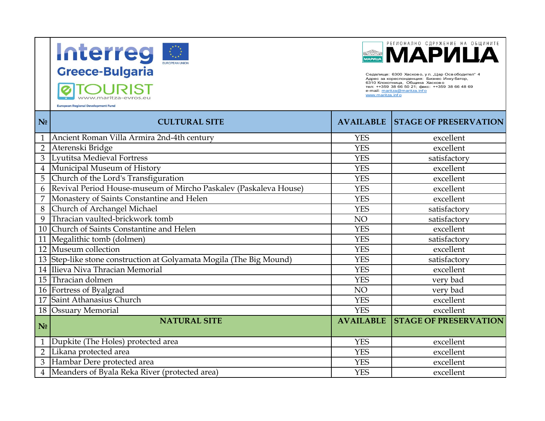





Седалище: 6300 Хасково, ул. "Цар Освободител" 4<br>Адрес за кореспонденция: Бизнес Инкубатор, 6310 Клокотница, Община Хасково тел: ++359 38 66 50 21; факс: ++359 38 66 48 69 e-mail: maritza@maritza.info www.maritza.inf o

|                | alah personal dan sebagai pe<br><b>European Regional Development Fund</b> | www.maritza.info | Седалище: 6300 Хасково, ул. "Цар Освободител" 4<br>Адрес за кореспонденция: Бизнес Инку батор,<br>6310 Клокотница, Община Хасково<br>тел: ++359 38 66 50 21; факс: ++359 38 66 48 69<br>e-mail: maritza@maritza.info |
|----------------|---------------------------------------------------------------------------|------------------|----------------------------------------------------------------------------------------------------------------------------------------------------------------------------------------------------------------------|
| N <sub>0</sub> | <b>CULTURAL SITE</b>                                                      | <b>AVAILABLE</b> | <b>STAGE OF PRESERVATION</b>                                                                                                                                                                                         |
| $\mathbf{1}$   | Ancient Roman Villa Armira 2nd-4th century                                | <b>YES</b>       | excellent                                                                                                                                                                                                            |
| $\overline{2}$ | Aterenski Bridge                                                          | <b>YES</b>       | excellent                                                                                                                                                                                                            |
| $\overline{3}$ | Lyutitsa Medieval Fortress                                                | <b>YES</b>       | satisfactory                                                                                                                                                                                                         |
| $\overline{4}$ | Municipal Museum of History                                               | <b>YES</b>       | excellent                                                                                                                                                                                                            |
| 5 <sup>1</sup> | Church of the Lord's Transfiguration                                      | <b>YES</b>       | excellent                                                                                                                                                                                                            |
| 6              | Revival Period House-museum of Mircho Paskalev (Paskaleva House)          | <b>YES</b>       | excellent                                                                                                                                                                                                            |
| $\overline{7}$ | Monastery of Saints Constantine and Helen                                 | <b>YES</b>       | excellent                                                                                                                                                                                                            |
| 8              | Church of Archangel Michael                                               | <b>YES</b>       | satisfactory                                                                                                                                                                                                         |
| 9              | Thracian vaulted-brickwork tomb                                           | NO               | satisfactory                                                                                                                                                                                                         |
| 10             | Church of Saints Constantine and Helen                                    | <b>YES</b>       | excellent                                                                                                                                                                                                            |
|                | 11 Megalithic tomb (dolmen)                                               | <b>YES</b>       | satisfactory                                                                                                                                                                                                         |
|                | 12 Museum collection                                                      | <b>YES</b>       | excellent                                                                                                                                                                                                            |
|                | 13 Step-like stone construction at Golyamata Mogila (The Big Mound)       | <b>YES</b>       | satisfactory                                                                                                                                                                                                         |
|                | 14 Ilieva Niva Thracian Memorial                                          | <b>YES</b>       | excellent                                                                                                                                                                                                            |
|                | 15 Thracian dolmen                                                        | <b>YES</b>       | very bad                                                                                                                                                                                                             |
|                | 16 Fortress of Byalgrad                                                   | NO               | very bad                                                                                                                                                                                                             |
| 17             | Saint Athanasius Church                                                   | <b>YES</b>       | excellent                                                                                                                                                                                                            |
|                | 18 Ossuary Memorial                                                       | <b>YES</b>       | excellent                                                                                                                                                                                                            |
| N <sub>0</sub> | <b>NATURAL SITE</b>                                                       | <b>AVAILABLE</b> | <b>STAGE OF PRESERVATION</b>                                                                                                                                                                                         |
| $\mathbf{1}$   | Dupkite (The Holes) protected area                                        | <b>YES</b>       | excellent                                                                                                                                                                                                            |
| $\overline{2}$ | Likana protected area                                                     | <b>YES</b>       | excellent                                                                                                                                                                                                            |
| $\overline{3}$ | Hambar Dere protected area                                                | <b>YES</b>       | excellent                                                                                                                                                                                                            |
| $\overline{4}$ | Meanders of Byala Reka River (protected area)                             | <b>YES</b>       | excellent                                                                                                                                                                                                            |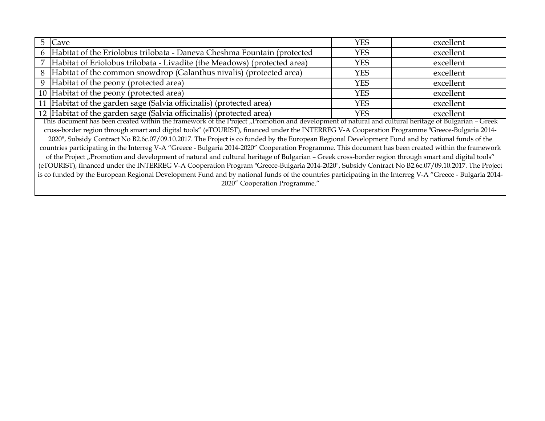| 5                                                                                                                                                   | Cave                                                                                                                                                     | YES        | excellent |  |
|-----------------------------------------------------------------------------------------------------------------------------------------------------|----------------------------------------------------------------------------------------------------------------------------------------------------------|------------|-----------|--|
|                                                                                                                                                     | 6 Habitat of the Eriolobus trilobata - Daneva Cheshma Fountain (protected                                                                                | <b>YES</b> | excellent |  |
|                                                                                                                                                     | Habitat of Eriolobus trilobata - Livadite (the Meadows) (protected area)                                                                                 | <b>YES</b> | excellent |  |
|                                                                                                                                                     | 8   Habitat of the common snowdrop (Galanthus nivalis) (protected area)                                                                                  | <b>YES</b> | excellent |  |
|                                                                                                                                                     | 9 Habitat of the peony (protected area)                                                                                                                  | <b>YES</b> | excellent |  |
|                                                                                                                                                     | 10 Habitat of the peony (protected area)                                                                                                                 | <b>YES</b> | excellent |  |
|                                                                                                                                                     | 11 Habitat of the garden sage (Salvia officinalis) (protected area)                                                                                      | <b>YES</b> | excellent |  |
|                                                                                                                                                     | 12 Habitat of the garden sage (Salvia officinalis) (protected area)                                                                                      | <b>YES</b> | excellent |  |
| This document has been created within the framework of the Project "Promotion and development of natural and cultural heritage of Bulgarian - Greek |                                                                                                                                                          |            |           |  |
|                                                                                                                                                     | cross-border region through smart and digital tools" (eTOURIST), financed under the INTERREG V-A Cooperation Programme "Greece-Bulgaria 2014-            |            |           |  |
|                                                                                                                                                     | 2020", Subsidy Contract No B2.6c.07/09.10.2017. The Project is co funded by the European Regional Development Fund and by national funds of the          |            |           |  |
|                                                                                                                                                     | countries participating in the Interreg V-A "Greece - Bulgaria 2014-2020" Cooperation Programme. This document has been created within the framework     |            |           |  |
|                                                                                                                                                     | of the Project "Promotion and development of natural and cultural heritage of Bulgarian - Greek cross-border region through smart and digital tools"     |            |           |  |
| (eTOURIST), financed under the INTERREG V-A Cooperation Program "Greece-Bulgaria 2014-2020", Subsidy Contract No B2.6c.07/09.10.2017. The Project   |                                                                                                                                                          |            |           |  |
|                                                                                                                                                     | is co funded by the European Regional Development Fund and by national funds of the countries participating in the Interreg V-A "Greece - Bulgaria 2014- |            |           |  |
|                                                                                                                                                     | 2020" Cooperation Programme."                                                                                                                            |            |           |  |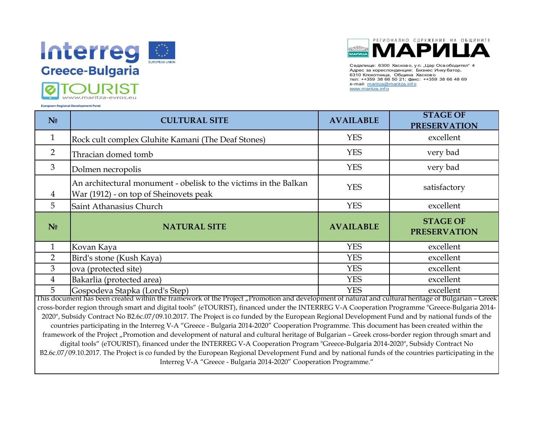



Седалище: 6300 Хасково, у л. "Цар Освободител" 4 Адрес за кореспонденция: Бизнес Инку батор, 6310 Клокотница, Община Хасково тел: ++359 38 66 50 21; факс: ++359 38 66 48 69 e-mail: maritza@maritza.info www.maritza.inf o

| N <sub>0</sub> | <b>CULTURAL SITE</b>                                                                                       | <b>AVAILABLE</b> | <b>STAGE OF</b><br><b>PRESERVATION</b> |
|----------------|------------------------------------------------------------------------------------------------------------|------------------|----------------------------------------|
| $\mathbf{1}$   | Rock cult complex Gluhite Kamani (The Deaf Stones)                                                         | <b>YES</b>       | excellent                              |
| $\overline{2}$ | Thracian domed tomb                                                                                        | <b>YES</b>       | very bad                               |
| $\mathfrak{Z}$ | Dolmen necropolis                                                                                          | <b>YES</b>       | very bad                               |
| $\overline{4}$ | An architectural monument - obelisk to the victims in the Balkan<br>War (1912) - on top of Sheinovets peak | <b>YES</b>       | satisfactory                           |
| 5              | Saint Athanasius Church                                                                                    | <b>YES</b>       | excellent                              |
| N <sub>0</sub> | <b>NATURAL SITE</b>                                                                                        | <b>AVAILABLE</b> | <b>STAGE OF</b><br><b>PRESERVATION</b> |
| $\mathbf{1}$   | Kovan Kaya                                                                                                 | <b>YES</b>       | excellent                              |
| $\overline{2}$ | Bird's stone (Kush Kaya)                                                                                   | <b>YES</b>       | excellent                              |
| 3              | ova (protected site)                                                                                       | <b>YES</b>       | excellent                              |
| $\overline{4}$ | Bakarlia (protected area)                                                                                  | <b>YES</b>       | excellent                              |
| 5              | Gospodeva Stapka (Lord's Step)                                                                             | <b>YES</b>       | excellent                              |

This document has been created within the framework of the Project "Promotion and development of natural and cultural heritage of Bulgarian – Greek cross-border region through smart and digital tools" (eTOURIST), financed under the INTERREG V-A Cooperation Programme "Greece-Bulgaria 2014- 2020", Subsidy Contract No В2.6с.07/09.10.2017. The Project is co funded by the European Regional Development Fund and by national funds of the countries participating in the Interreg V-A "Greece - Bulgaria 2014-2020" Cooperation Programme. This document has been created within the framework of the Project "Promotion and development of natural and cultural heritage of Bulgarian - Greek cross-border region through smart and digital tools" (eTOURIST), financed under the INTERREG V-A Cooperation Program "Greece-Bulgaria 2014-2020", Subsidy Contract No В2.6с.07/09.10.2017. The Project is co funded by the European Regional Development Fund and by national funds of the countries participating in the Interreg V-A "Greece - Bulgaria 2014-2020" Cooperation Programme."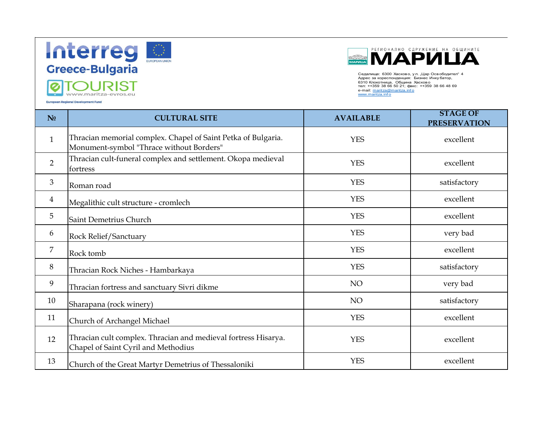

÷

**European Regional Development Fund** 



Седалище: 6300 Хасково, у л. "Цар Освободител" 4 Адрес за кореспонденция: Бизнес Инку батор, 6310 Клокотница, Община Хасково<br>тел: ++359 38 66 50 21; факс: ++359 38 66 48 69<br>e-mail: <u>maritza.info</u><br>www.maritza.info

| N <sub>0</sub> | <b>CULTURAL SITE</b>                                                                                      | <b>AVAILABLE</b> | <b>STAGE OF</b><br><b>PRESERVATION</b> |
|----------------|-----------------------------------------------------------------------------------------------------------|------------------|----------------------------------------|
| $\mathbf{1}$   | Thracian memorial complex. Chapel of Saint Petka of Bulgaria.<br>Monument-symbol "Thrace without Borders" | <b>YES</b>       | excellent                              |
| $\overline{2}$ | Thracian cult-funeral complex and settlement. Okopa medieval<br>fortress                                  | <b>YES</b>       | excellent                              |
| 3              | Roman road                                                                                                | <b>YES</b>       | satisfactory                           |
| $\overline{4}$ | Megalithic cult structure - cromlech                                                                      | <b>YES</b>       | excellent                              |
| 5              | Saint Demetrius Church                                                                                    | <b>YES</b>       | excellent                              |
| 6              | Rock Relief/Sanctuary                                                                                     | <b>YES</b>       | very bad                               |
| $\overline{7}$ | Rock tomb                                                                                                 | <b>YES</b>       | excellent                              |
| 8              | Thracian Rock Niches - Hambarkaya                                                                         | <b>YES</b>       | satisfactory                           |
| 9              | Thracian fortress and sanctuary Sivri dikme                                                               | NO               | very bad                               |
| 10             | Sharapana (rock winery)                                                                                   | NO               | satisfactory                           |
| 11             | Church of Archangel Michael                                                                               | <b>YES</b>       | excellent                              |
| 12             | Thracian cult complex. Thracian and medieval fortress Hisarya.<br>Chapel of Saint Cyril and Methodius     | <b>YES</b>       | excellent                              |
| 13             | Church of the Great Martyr Demetrius of Thessaloniki                                                      | <b>YES</b>       | excellent                              |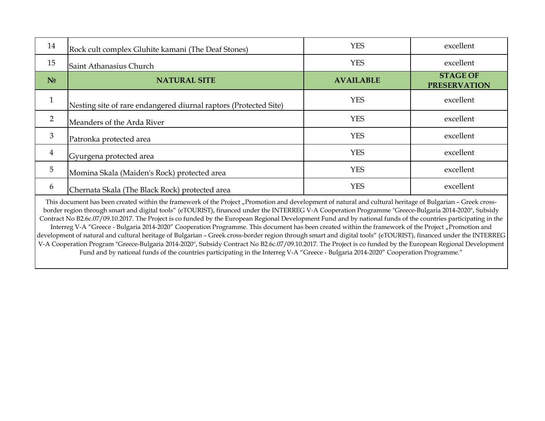| 14             | Rock cult complex Gluhite kamani (The Deaf Stones)                                                              | <b>YES</b>       | excellent                              |
|----------------|-----------------------------------------------------------------------------------------------------------------|------------------|----------------------------------------|
| 15             | Saint Athanasius Church                                                                                         | <b>YES</b>       | excellent                              |
| N <sub>0</sub> | <b>NATURAL SITE</b>                                                                                             | <b>AVAILABLE</b> | <b>STAGE OF</b><br><b>PRESERVATION</b> |
| $\mathbf{1}$   | Nesting site of rare endangered diurnal raptors (Protected Site)                                                | <b>YES</b>       | excellent                              |
| $\overline{2}$ | Meanders of the Arda River                                                                                      | <b>YES</b>       | excellent                              |
| 3              | Patronka protected area                                                                                         | <b>YES</b>       | excellent                              |
| $\overline{4}$ | Gyurgena protected area                                                                                         | <b>YES</b>       | excellent                              |
| $\overline{5}$ | Momina Skala (Maiden's Rock) protected area                                                                     | <b>YES</b>       | excellent                              |
| 6              | Chernata Skala (The Black Rock) protected area                                                                  | <b>YES</b>       | excellent                              |
|                | - 1996년 - 1997년 - 1998년 - 1999년 - 1999년 - 1999년 - 1999년 - 1999년 - 1999년 - 1999년 - 1999년 - 1999년 - 1999년 - 1999년 |                  |                                        |

This document has been created within the framework of the Project "Promotion and development of natural and cultural heritage of Bulgarian - Greek crossborder region through smart and digital tools" (eTOURIST), financed under the INTERREG V-A Cooperation Programme "Greece-Bulgaria 2014-2020", Subsidy Contract No В2.6с.07/09.10.2017. The Project is co funded by the European Regional Development Fund and by national funds of the countries participating in the Interreg V-A "Greece - Bulgaria 2014-2020" Cooperation Programme. This document has been created within the framework of the Project "Promotion and development of natural and cultural heritage of Bulgarian – Greek cross-border region through smart and digital tools" (eTOURIST), financed under the INTERREG V-A Cooperation Program "Greece-Bulgaria 2014-2020", Subsidy Contract No В2.6с.07/09.10.2017. The Project is co funded by the European Regional Development Fund and by national funds of the countries participating in the Interreg V-A "Greece - Bulgaria 2014-2020" Cooperation Programme."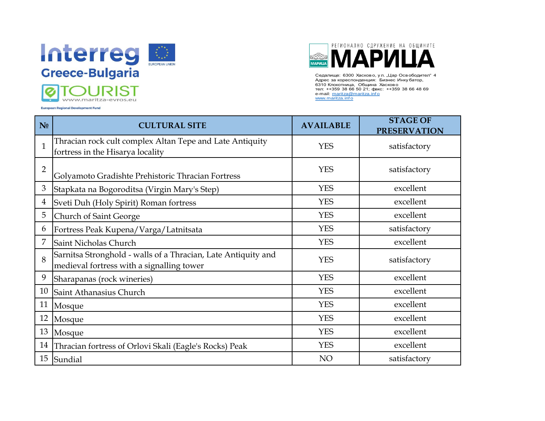



Седалище: 6300 Хасково, у л. "Цар Освободител" 4 Адрес за кореспонденция: Бизнес Инку батор, 6310 Клокотница, Община Хасково тел: ++359 38 66 50 21; факс: ++359 38 66 48 69 e-mail: maritza@maritza.info www.maritza.info

| N <sub>0</sub> | <b>CULTURAL SITE</b>                                                                                       | <b>AVAILABLE</b> | <b>STAGE OF</b><br><b>PRESERVATION</b> |
|----------------|------------------------------------------------------------------------------------------------------------|------------------|----------------------------------------|
| $\mathbf{1}$   | Thracian rock cult complex Altan Tepe and Late Antiquity<br>fortress in the Hisarya locality               | <b>YES</b>       | satisfactory                           |
| $\overline{2}$ | Golyamoto Gradishte Prehistoric Thracian Fortress                                                          | <b>YES</b>       | satisfactory                           |
| 3              | Stapkata na Bogoroditsa (Virgin Mary's Step)                                                               | <b>YES</b>       | excellent                              |
| 4              | Sveti Duh (Holy Spirit) Roman fortress                                                                     | <b>YES</b>       | excellent                              |
| 5              | Church of Saint George                                                                                     | <b>YES</b>       | excellent                              |
| 6              | Fortress Peak Kupena/Varga/Latnitsata                                                                      | <b>YES</b>       | satisfactory                           |
|                | Saint Nicholas Church                                                                                      | <b>YES</b>       | excellent                              |
| 8              | Sarnitsa Stronghold - walls of a Thracian, Late Antiquity and<br>medieval fortress with a signalling tower | <b>YES</b>       | satisfactory                           |
| 9              | Sharapanas (rock wineries)                                                                                 | <b>YES</b>       | excellent                              |
| 10             | Saint Athanasius Church                                                                                    | <b>YES</b>       | excellent                              |
| 11             | Mosque                                                                                                     | <b>YES</b>       | excellent                              |
| 12             | Mosque                                                                                                     | <b>YES</b>       | excellent                              |
| 13             | Mosque                                                                                                     | <b>YES</b>       | excellent                              |
| 14             | Thracian fortress of Orlovi Skali (Eagle's Rocks) Peak                                                     | <b>YES</b>       | excellent                              |
| 15             | Sundial                                                                                                    | NO               | satisfactory                           |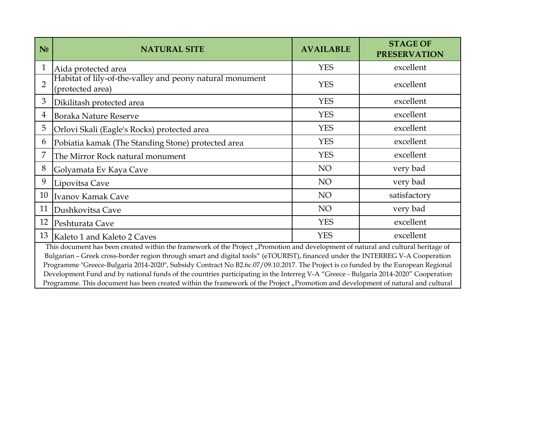| N <sub>0</sub>                                                                                                                                                                                                                                                           | <b>NATURAL SITE</b>                                                          | <b>AVAILABLE</b> | <b>STAGE OF</b><br><b>PRESERVATION</b> |
|--------------------------------------------------------------------------------------------------------------------------------------------------------------------------------------------------------------------------------------------------------------------------|------------------------------------------------------------------------------|------------------|----------------------------------------|
| $\mathbf{1}$                                                                                                                                                                                                                                                             | Aida protected area                                                          | <b>YES</b>       | excellent                              |
| $\overline{2}$                                                                                                                                                                                                                                                           | Habitat of lily-of-the-valley and peony natural monument<br>(protected area) | <b>YES</b>       | excellent                              |
| 3                                                                                                                                                                                                                                                                        | Dikilitash protected area                                                    | <b>YES</b>       | excellent                              |
| 4                                                                                                                                                                                                                                                                        | <b>Boraka Nature Reserve</b>                                                 | <b>YES</b>       | excellent                              |
| 5                                                                                                                                                                                                                                                                        | Orlovi Skali (Eagle's Rocks) protected area                                  | <b>YES</b>       | excellent                              |
| 6                                                                                                                                                                                                                                                                        | Pobiatia kamak (The Standing Stone) protected area                           | <b>YES</b>       | excellent                              |
|                                                                                                                                                                                                                                                                          | The Mirror Rock natural monument                                             | <b>YES</b>       | excellent                              |
| 8                                                                                                                                                                                                                                                                        | Golyamata Ev Kaya Cave                                                       | NO <sub>1</sub>  | very bad                               |
| 9                                                                                                                                                                                                                                                                        | Lipovitsa Cave                                                               | NO <sub>1</sub>  | very bad                               |
| 10                                                                                                                                                                                                                                                                       | Ivanov Kamak Cave                                                            | NO <sub>1</sub>  | satisfactory                           |
| 11                                                                                                                                                                                                                                                                       | Dushkovitsa Cave                                                             | NO <sub>1</sub>  | very bad                               |
| 12                                                                                                                                                                                                                                                                       | Peshturata Cave                                                              | <b>YES</b>       | excellent                              |
|                                                                                                                                                                                                                                                                          | 13 Kaleto 1 and Kaleto 2 Caves                                               | <b>YES</b>       | excellent                              |
| This document has been created within the framework of the Project "Promotion and development of natural and cultural heritage of<br>$Rulaxian$ Creek area border region through emert and digital toole" (eTOUDICT) financed under the INTEDDEC V $\Lambda$ Cooperation |                                                                              |                  |                                        |

Bulgarian – Greek cross-border region through smart and digital tools" (eTOURIST), financed under the INTERREG V-A Cooperation Programme "Greece-Bulgaria 2014-2020", Subsidy Contract No В2.6с.07/09.10.2017. The Project is co funded by the European Regional Development Fund and by national funds of the countries participating in the Interreg V-A "Greece - Bulgaria 2014-2020" Cooperation Programme. This document has been created within the framework of the Project "Promotion and development of natural and cultural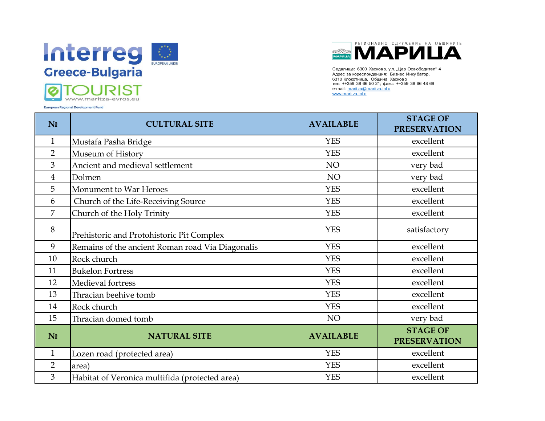



| Greece-Bulgaria<br>Седалище: 6300 Хасково, ул. "Цар Освободител" 4<br>Адрес за кореспонденция: Бизнес Инку батор,<br>6310 Клокотница, Община Хасково<br>тел: ++359 38 66 50 21; факс: ++359 38 66 48 69<br>e-mail: maritza@maritza.info<br>www.maritza.info<br>www.maritza-evros.eu<br><b>European Regional Development Fund</b> |                                                  |                  |                                        |
|----------------------------------------------------------------------------------------------------------------------------------------------------------------------------------------------------------------------------------------------------------------------------------------------------------------------------------|--------------------------------------------------|------------------|----------------------------------------|
| N <sub>0</sub>                                                                                                                                                                                                                                                                                                                   | <b>CULTURAL SITE</b>                             | <b>AVAILABLE</b> | <b>STAGE OF</b><br><b>PRESERVATION</b> |
| $\mathbf{1}$                                                                                                                                                                                                                                                                                                                     | Mustafa Pasha Bridge                             | <b>YES</b>       | excellent                              |
| $\overline{2}$                                                                                                                                                                                                                                                                                                                   | Museum of History                                | <b>YES</b>       | excellent                              |
| 3                                                                                                                                                                                                                                                                                                                                | Ancient and medieval settlement                  | NO               | very bad                               |
| 4                                                                                                                                                                                                                                                                                                                                | Dolmen                                           | NO               | very bad                               |
| 5                                                                                                                                                                                                                                                                                                                                | Monument to War Heroes                           | <b>YES</b>       | excellent                              |
| 6                                                                                                                                                                                                                                                                                                                                | Church of the Life-Receiving Source              | <b>YES</b>       | excellent                              |
| 7                                                                                                                                                                                                                                                                                                                                | Church of the Holy Trinity                       | <b>YES</b>       | excellent                              |
| 8                                                                                                                                                                                                                                                                                                                                | Prehistoric and Protohistoric Pit Complex        | <b>YES</b>       | satisfactory                           |
| 9                                                                                                                                                                                                                                                                                                                                | Remains of the ancient Roman road Via Diagonalis | <b>YES</b>       | excellent                              |
| 10                                                                                                                                                                                                                                                                                                                               | Rock church                                      | <b>YES</b>       | excellent                              |
| 11                                                                                                                                                                                                                                                                                                                               | <b>Bukelon Fortress</b>                          | <b>YES</b>       | excellent                              |
| 12                                                                                                                                                                                                                                                                                                                               | Medieval fortress                                | <b>YES</b>       | excellent                              |
| 13                                                                                                                                                                                                                                                                                                                               | Thracian beehive tomb                            | <b>YES</b>       | excellent                              |
| 14                                                                                                                                                                                                                                                                                                                               | Rock church                                      | <b>YES</b>       | excellent                              |
| 15                                                                                                                                                                                                                                                                                                                               | Thracian domed tomb                              | NO               | very bad                               |
| N <sub>0</sub>                                                                                                                                                                                                                                                                                                                   | <b>NATURAL SITE</b>                              | <b>AVAILABLE</b> | <b>STAGE OF</b><br><b>PRESERVATION</b> |
| $\mathbf 1$                                                                                                                                                                                                                                                                                                                      | Lozen road (protected area)                      | <b>YES</b>       | excellent                              |
| $\overline{2}$                                                                                                                                                                                                                                                                                                                   | area)                                            | <b>YES</b>       | excellent                              |
| $\overline{3}$                                                                                                                                                                                                                                                                                                                   | Habitat of Veronica multifida (protected area)   | <b>YES</b>       | excellent                              |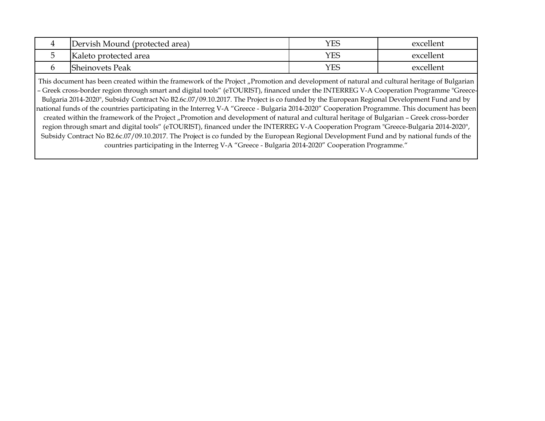| 4 | Dervish Mound (protected area) | YES | excellent |
|---|--------------------------------|-----|-----------|
|   | Kaleto protected area          | YES | excellent |
|   | <b>Sheinovets Peak</b>         | YES | excellent |

This document has been created within the framework of the Project "Promotion and development of natural and cultural heritage of Bulgarian – Greek cross-border region through smart and digital tools" (eTOURIST), financed under the INTERREG V-A Cooperation Programme "Greece-Bulgaria 2014-2020", Subsidy Contract No В2.6с.07/09.10.2017. The Project is co funded by the European Regional Development Fund and by national funds of the countries participating in the Interreg V-A "Greece - Bulgaria 2014-2020" Cooperation Programme. This document has been created within the framework of the Project "Promotion and development of natural and cultural heritage of Bulgarian - Greek cross-border region through smart and digital tools" (eTOURIST), financed under the INTERREG V-A Cooperation Program "Greece-Bulgaria 2014-2020", Subsidy Contract No В2.6с.07/09.10.2017. The Project is co funded by the European Regional Development Fund and by national funds of the countries participating in the Interreg V-A "Greece - Bulgaria 2014-2020" Cooperation Programme."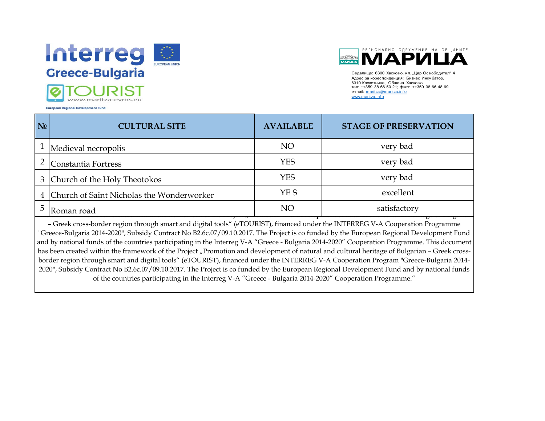



Седалище: 6300 Хасково, у л. "Цар Освободител" 4 Адрес за кореспонденция: Бизнес Инку батор, 6310 Клокотница, Община Хасково тел: ++359 38 66 50 21; факс: ++359 38 66 48 69 e-mail: maritza@maritza.inf <sup>o</sup> www.maritza.inf o

| N <sub>0</sub> | <b>CULTURAL SITE</b>                        | <b>AVAILABLE</b> | <b>STAGE OF PRESERVATION</b> |
|----------------|---------------------------------------------|------------------|------------------------------|
|                | $\perp$ Medieval necropolis                 | NO               | very bad                     |
|                | Constantia Fortress                         | <b>YES</b>       | very bad                     |
|                | 3 Church of the Holy Theotokos              | <b>YES</b>       | very bad                     |
|                | 4 Church of Saint Nicholas the Wonderworker | YE S             | excellent                    |
|                | Roman road                                  | NO               | satisfactory                 |

– Greek cross-border region through smart and digital tools" (eTOURIST), financed under the INTERREG V-A Cooperation Programme "Greece-Bulgaria 2014-2020", Subsidy Contract No В2.6с.07/09.10.2017. The Project is co funded by the European Regional Development Fund and by national funds of the countries participating in the Interreg V-A "Greece - Bulgaria 2014-2020" Cooperation Programme. This document has been created within the framework of the Project "Promotion and development of natural and cultural heritage of Bulgarian - Greek crossborder region through smart and digital tools" (eTOURIST), financed under the INTERREG V-A Cooperation Program "Greece-Bulgaria 2014- 2020", Subsidy Contract No В2.6с.07/09.10.2017. The Project is co funded by the European Regional Development Fund and by national funds of the countries participating in the Interreg V-A "Greece - Bulgaria 2014-2020" Cooperation Programme."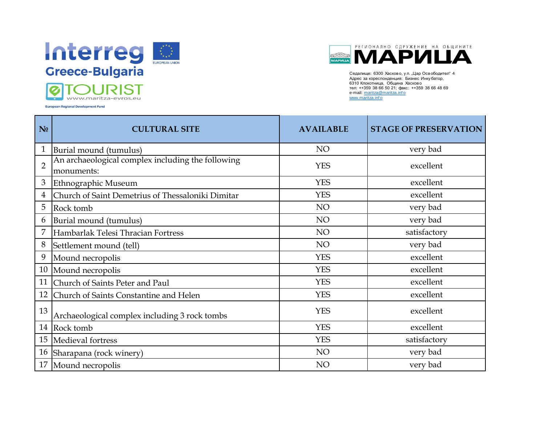



Седалище: 6300 Хасково, у л. "Цар Освободител" 4 Адрес за кореспонденция: Бизнес Инку батор, 6310 Клокотница, Община Хасково тел: ++359 38 66 50 21; факс: ++359 38 66 48 69 e-mail: maritza@maritza.inf <sup>o</sup> www.maritza.info

| N <sub>0</sub> | <b>CULTURAL SITE</b>                                            | <b>AVAILABLE</b> | <b>STAGE OF PRESERVATION</b> |
|----------------|-----------------------------------------------------------------|------------------|------------------------------|
| 1              | Burial mound (tumulus)                                          | NO               | very bad                     |
| $\overline{2}$ | An archaeological complex including the following<br>monuments: | <b>YES</b>       | excellent                    |
| 3              | Ethnographic Museum                                             | <b>YES</b>       | excellent                    |
| 4              | Church of Saint Demetrius of Thessaloniki Dimitar               | <b>YES</b>       | excellent                    |
| 5              | Rock tomb                                                       | NO               | very bad                     |
| 6              | Burial mound (tumulus)                                          | NO               | very bad                     |
|                | Hambarlak Telesi Thracian Fortress                              | NO               | satisfactory                 |
| 8              | Settlement mound (tell)                                         | NO               | very bad                     |
| 9              | Mound necropolis                                                | <b>YES</b>       | excellent                    |
| 10             | Mound necropolis                                                | <b>YES</b>       | excellent                    |
| 11             | Church of Saints Peter and Paul                                 | <b>YES</b>       | excellent                    |
| 12             | Church of Saints Constantine and Helen                          | <b>YES</b>       | excellent                    |
| 13             | Archaeological complex including 3 rock tombs                   | <b>YES</b>       | excellent                    |
| 14             | Rock tomb                                                       | <b>YES</b>       | excellent                    |
| 15             | Medieval fortress                                               | <b>YES</b>       | satisfactory                 |
| 16             | Sharapana (rock winery)                                         | NO               | very bad                     |
| 17             | Mound necropolis                                                | NO               | very bad                     |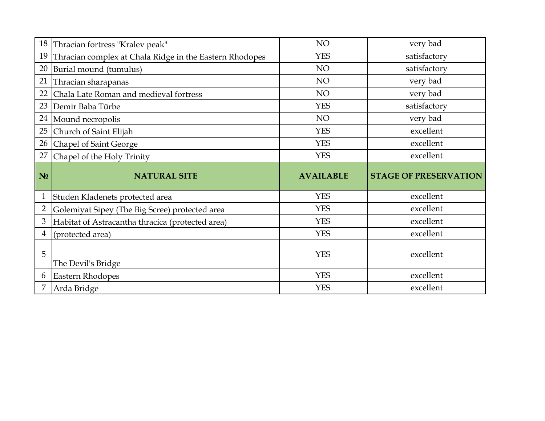|                | 18 Thracian fortress "Kralev peak"                                                                 | NO               | very bad                     |
|----------------|----------------------------------------------------------------------------------------------------|------------------|------------------------------|
| 19             | Thracian complex at Chala Ridge in the Eastern Rhodopes                                            | <b>YES</b>       | satisfactory                 |
| 20             | Burial mound (tumulus)                                                                             | NO               | satisfactory                 |
| 21             | Thracian sharapanas                                                                                | NO               | very bad                     |
| 22             | Chala Late Roman and medieval fortress                                                             | NO               | very bad                     |
| 23             | Demir Baba Türbe                                                                                   | <b>YES</b>       | satisfactory                 |
|                | 24  Mound necropolis                                                                               | NO               | very bad                     |
| $25\,$         | Church of Saint Elijah                                                                             | <b>YES</b>       | excellent                    |
|                | 26 Chapel of Saint George                                                                          | <b>YES</b>       | excellent                    |
| 27             | Chapel of the Holy Trinity                                                                         | <b>YES</b>       | excellent                    |
|                |                                                                                                    |                  |                              |
| N <sub>0</sub> | <b>NATURAL SITE</b>                                                                                | <b>AVAILABLE</b> | <b>STAGE OF PRESERVATION</b> |
| $\mathbf{1}$   | Studen Kladenets protected area                                                                    | <b>YES</b>       | excellent                    |
| $\overline{2}$ |                                                                                                    | <b>YES</b>       | excellent                    |
| 3              | Golemiyat Sipey (The Big Scree) protected area<br>Habitat of Astracantha thracica (protected area) | <b>YES</b>       | excellent                    |
| $\overline{4}$ | (protected area)                                                                                   | <b>YES</b>       | excellent                    |
| 5              | The Devil's Bridge                                                                                 | <b>YES</b>       | excellent                    |
| 6              | Eastern Rhodopes                                                                                   | <b>YES</b>       | excellent                    |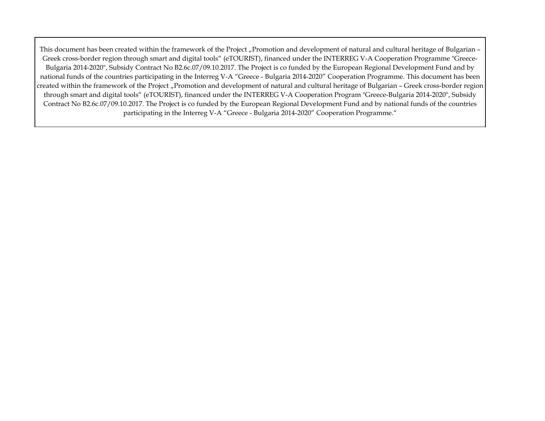This document has been created within the framework of the Project "Promotion and development of natural and cultural heritage of Bulgarian – Greek cross-border region through smart and digital tools" (eTOURIST), financed under the INTERREG V-A Cooperation Programme "Greece-Bulgaria 2014-2020", Subsidy Contract No В2.6с.07/09.10.2017. The Project is co funded by the European Regional Development Fund and by national funds of the countries participating in the Interreg V-A "Greece - Bulgaria 2014-2020" Cooperation Programme. This document has been created within the framework of the Project "Promotion and development of natural and cultural heritage of Bulgarian - Greek cross-border region through smart and digital tools" (eTOURIST), financed under the INTERREG V-A Cooperation Program "Greece-Bulgaria 2014-2020", Subsidy Contract No В2.6с.07/09.10.2017. The Project is co funded by the European Regional Development Fund and by national funds of the countries participating in the Interreg V-A "Greece - Bulgaria 2014-2020" Cooperation Programme."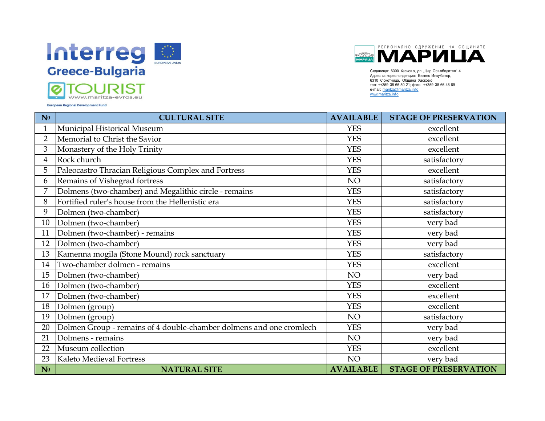



Седалище: 6300 Хасково, ул. "Цар Освободител" 4 Адрес за кореспонденция: Бизнес Инку батор, 6310 Клокотница, Община Хасково тел: ++359 38 66 50 21; факс: ++359 38 66 48 69 e-mail: maritza@maritza.info www.maritza.info

| N <sub>0</sub> | <b>CULTURAL SITE</b>                                                | <b>AVAILABLE</b> | <b>STAGE OF PRESERVATION</b> |
|----------------|---------------------------------------------------------------------|------------------|------------------------------|
|                | Municipal Historical Museum                                         | <b>YES</b>       | excellent                    |
| $\overline{2}$ | Memorial to Christ the Savior                                       | <b>YES</b>       | excellent                    |
| 3              | Monastery of the Holy Trinity                                       | <b>YES</b>       | excellent                    |
| 4              | Rock church                                                         | <b>YES</b>       | satisfactory                 |
| 5              | Paleocastro Thracian Religious Complex and Fortress                 | <b>YES</b>       | excellent                    |
| 6              | Remains of Vishegrad fortress                                       | NO               | satisfactory                 |
|                | Dolmens (two-chamber) and Megalithic circle - remains               | <b>YES</b>       | satisfactory                 |
| 8              | Fortified ruler's house from the Hellenistic era                    | <b>YES</b>       | satisfactory                 |
| 9              | Dolmen (two-chamber)                                                | <b>YES</b>       | satisfactory                 |
| 10             | Dolmen (two-chamber)                                                | <b>YES</b>       | very bad                     |
| 11             | Dolmen (two-chamber) - remains                                      | <b>YES</b>       | very bad                     |
| 12             | Dolmen (two-chamber)                                                | <b>YES</b>       | very bad                     |
| 13             | Kamenna mogila (Stone Mound) rock sanctuary                         | <b>YES</b>       | satisfactory                 |
| 14             | Two-chamber dolmen - remains                                        | <b>YES</b>       | excellent                    |
| 15             | Dolmen (two-chamber)                                                | NO               | very bad                     |
| 16             | Dolmen (two-chamber)                                                | <b>YES</b>       | excellent                    |
| 17             | Dolmen (two-chamber)                                                | <b>YES</b>       | excellent                    |
| 18             | Dolmen (group)                                                      | <b>YES</b>       | excellent                    |
| 19             | Dolmen (group)                                                      | NO               | satisfactory                 |
| 20             | Dolmen Group - remains of 4 double-chamber dolmens and one cromlech | <b>YES</b>       | very bad                     |
| 21             | Dolmens - remains                                                   | NO               | very bad                     |
| 22             | Museum collection                                                   | <b>YES</b>       | excellent                    |
| 23             | Kaleto Medieval Fortress                                            | NO               | very bad                     |
| N <sub>0</sub> | <b>NATURAL SITE</b>                                                 | <b>AVAILABLE</b> | <b>STAGE OF PRESERVATION</b> |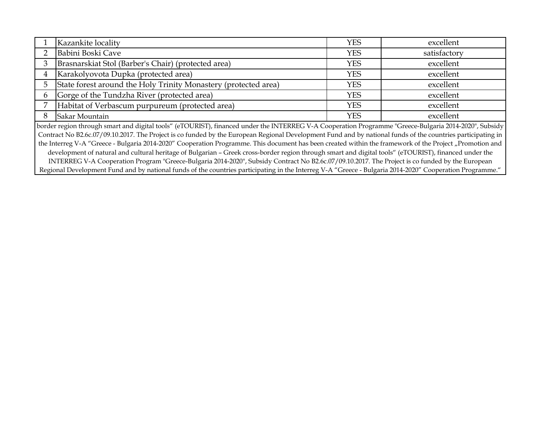|                                                                                                                                                             | Kazankite locality                                              | <b>YES</b> | excellent    |
|-------------------------------------------------------------------------------------------------------------------------------------------------------------|-----------------------------------------------------------------|------------|--------------|
|                                                                                                                                                             | Babini Boski Cave                                               | YES        | satisfactory |
|                                                                                                                                                             | Brasnarskiat Stol (Barber's Chair) (protected area)             | <b>YES</b> | excellent    |
|                                                                                                                                                             | Karakolyovota Dupka (protected area)                            | <b>YES</b> | excellent    |
|                                                                                                                                                             | State forest around the Holy Trinity Monastery (protected area) | YES        | excellent    |
|                                                                                                                                                             | Gorge of the Tundzha River (protected area)                     | <b>YES</b> | excellent    |
|                                                                                                                                                             | Habitat of Verbascum purpureum (protected area)                 | <b>YES</b> | excellent    |
|                                                                                                                                                             | Sakar Mountain                                                  | YES        | excellent    |
| border region through smart and digital tools" (eTOURIST), financed under the INTERREG V-A Cooperation Programme "Greece-Bulgaria 2014-2020", Subsidy       |                                                                 |            |              |
| Contract No B2.6c.07/09.10.2017. The Project is co funded by the European Regional Development Fund and by national funds of the countries participating in |                                                                 |            |              |

the Interreg V-A "Greece - Bulgaria 2014-2020" Cooperation Programme. This document has been created within the framework of the Project "Promotion and development of natural and cultural heritage of Bulgarian – Greek cross-border region through smart and digital tools" (eTOURIST), financed under the INTERREG V-A Cooperation Program "Greece-Bulgaria 2014-2020", Subsidy Contract No В2.6с.07/09.10.2017. The Project is co funded by the European Regional Development Fund and by national funds of the countries participating in the Interreg V-A "Greece - Bulgaria 2014-2020" Cooperation Programme."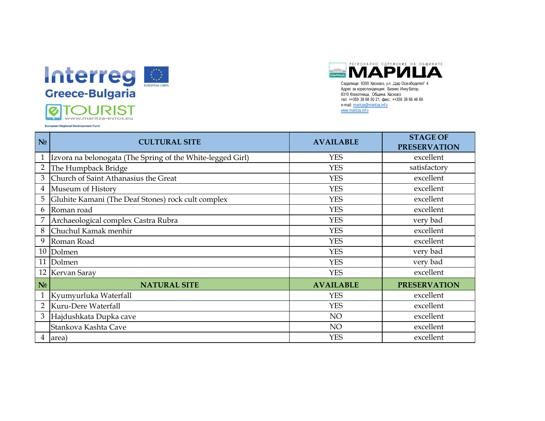



Адрес за кореспонденция: Бизнес Инку батор, 6310 Клокотница, Община Хасково тел: ++359 38 66 50 21; факс: ++359 38 66 48 69 e-mail: maritza@maritza.info www.maritza.info

**European Regional Development Fund** 

| N <sub>0</sub> | <b>CULTURAL SITE</b>                                       | <b>AVAILABLE</b> | <b>STAGE OF</b><br><b>PRESERVATION</b> |
|----------------|------------------------------------------------------------|------------------|----------------------------------------|
|                | Izvora na belonogata (The Spring of the White-legged Girl) | <b>YES</b>       | excellent                              |
| $\overline{2}$ | The Humpback Bridge                                        | <b>YES</b>       | satisfactory                           |
| 3              | Church of Saint Athanasius the Great                       | <b>YES</b>       | excellent                              |
| $\overline{4}$ | Museum of History                                          | <b>YES</b>       | excellent                              |
| 5              | Gluhite Kamani (The Deaf Stones) rock cult complex         | <b>YES</b>       | excellent                              |
| 6              | Roman road                                                 | <b>YES</b>       | excellent                              |
|                | Archaeological complex Castra Rubra                        | <b>YES</b>       | very bad                               |
| 8              | Chuchul Kamak menhir                                       | <b>YES</b>       | excellent                              |
| 9              | Roman Road                                                 | <b>YES</b>       | excellent                              |
|                | 10 Dolmen                                                  | <b>YES</b>       | very bad                               |
| 11             | Dolmen                                                     | <b>YES</b>       | very bad                               |
| 12             | Kervan Saray                                               | <b>YES</b>       | excellent                              |
| N <sub>0</sub> | <b>NATURAL SITE</b>                                        | <b>AVAILABLE</b> | <b>PRESERVATION</b>                    |
| $\mathbf{1}$   | Kyumyurluka Waterfall                                      | <b>YES</b>       | excellent                              |
| 2              | Kuru-Dere Waterfall                                        | <b>YES</b>       | excellent                              |
| 3              | Hajdushkata Dupka cave                                     | NO               | excellent                              |
|                | Stankova Kashta Cave                                       | NO               | excellent                              |
| 4              | area)                                                      | <b>YES</b>       | excellent                              |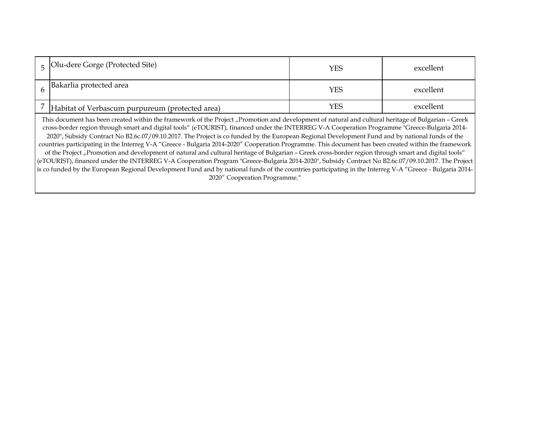| Olu-dere Gorge (Protected Site)                                                                                                                                                                                                                                                                                                                                                                                                                                                                                                                                                                                                                                                                                                                                                                                                                                                                                                                                                                                                                                                                                           | YES | excellent |  |  |
|---------------------------------------------------------------------------------------------------------------------------------------------------------------------------------------------------------------------------------------------------------------------------------------------------------------------------------------------------------------------------------------------------------------------------------------------------------------------------------------------------------------------------------------------------------------------------------------------------------------------------------------------------------------------------------------------------------------------------------------------------------------------------------------------------------------------------------------------------------------------------------------------------------------------------------------------------------------------------------------------------------------------------------------------------------------------------------------------------------------------------|-----|-----------|--|--|
| Bakarlia protected area                                                                                                                                                                                                                                                                                                                                                                                                                                                                                                                                                                                                                                                                                                                                                                                                                                                                                                                                                                                                                                                                                                   | YES | excellent |  |  |
| Habitat of Verbascum purpureum (protected area)                                                                                                                                                                                                                                                                                                                                                                                                                                                                                                                                                                                                                                                                                                                                                                                                                                                                                                                                                                                                                                                                           | YES | excellent |  |  |
| This document has been created within the framework of the Project "Promotion and development of natural and cultural heritage of Bulgarian - Greek<br>cross-border region through smart and digital tools" (eTOURIST), financed under the INTERREG V-A Cooperation Programme "Greece-Bulgaria 2014-<br>2020", Subsidy Contract No B2.6c.07/09.10.2017. The Project is co funded by the European Regional Development Fund and by national funds of the<br>countries participating in the Interreg V-A "Greece - Bulgaria 2014-2020" Cooperation Programme. This document has been created within the framework<br>of the Project "Promotion and development of natural and cultural heritage of Bulgarian - Greek cross-border region through smart and digital tools"<br>(eTOURIST), financed under the INTERREG V-A Cooperation Program "Greece-Bulgaria 2014-2020", Subsidy Contract No B2.6c.07/09.10.2017. The Project<br>is co funded by the European Regional Development Fund and by national funds of the countries participating in the Interreg V-A "Greece - Bulgaria 2014-<br>2020" Cooperation Programme." |     |           |  |  |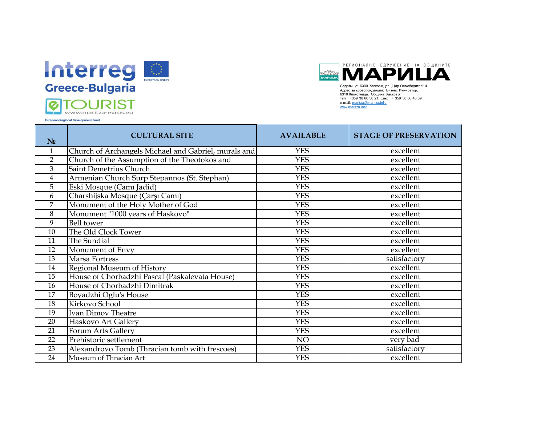

www.maritza-evros.eu

**European Regional Development Fund** 

РЕГИОНАЛНО СДРУЖЕНИЕ НА ОБЩИНИТЕ **МАРИЦА** Седалище: 6300 Хасково, у л. Шар Освободител Адрес за кореспонденция: Бизнес Инку батор,

6310 Клокотница, Община Хасково тел: ++359 38 66 50 21; факс: ++359 38 66 48 69 e-mail: maritza@maritza.info www.maritza.inf o

**№ CULTURAL SITE AVAILABLE STAGE OF PRESERVATION**  1 Church of Archangels Michael and Gabriel, murals and YES excellent 2 Church of the Assumption of the Theotokos and YES excellent 3 Saint Demetrius Church YES excellent 4 Armenian Church Surp Stepannos (St. Stephan) YES excellent 5 Eski Mosque (Camı Jadid) YES excellent 6 Charshijska Mosque (Çarşı Camı) YES excellent 7 Monument of the Holy Mother of God YES excellent 8 Monument "1000 years of Haskovo" YES excellent 9 Bell tower YES excellent 10 The Old Clock Tower The Contract Clock Tower The Contract Clock Tower The Contract Clock Tower The Contract Clock Tower The Contract Clock Tower The Contract Clock Tower The Contract Clock Tower The Contract Clock Tower 11 The Sundial and the Sundial Contract of the Sundial Contract of the Sundial Contract of the Sundial Contract of the Sundial Contract of the Sundial Contract of the Sundial Contract of the Sundial Contract of the Sundial 12 Monument of Envy<br>
13 Marsa Fortress PES excellent<br>
13 Marsa Fortress PES satisfactor 13 Marsa Fortress 2008 and the control of the MES 2008 and the Satisfactory Satisfactory 14 Regional Museum of History<br>
15 House of Chorbadzhi Pascal (Paskalevata House) YES YES excellent 15 House of Chorbadzhi Pascal (Paskalevata House) YES excellent 16 House of Chorbadzhi Dimitrak YES excellent 17 Boyadzhi Oglu's House YES YES excellent 18 Kirkovo School YES excellent 19 Ivan Dimov Theatre **Network Theory ES** excellent 20 Haskovo Art Gallery YES excellent 21 Forum Arts Gallery **YES** excellent 22 Prehistoric settlement and the settlement of the settlement of the NO very bad 23 Alexandrovo Tomb (Thracian tomb with frescoes) YES satisfactory 24 Museum of Thracian Art **Network CONFINSION PES** excellent